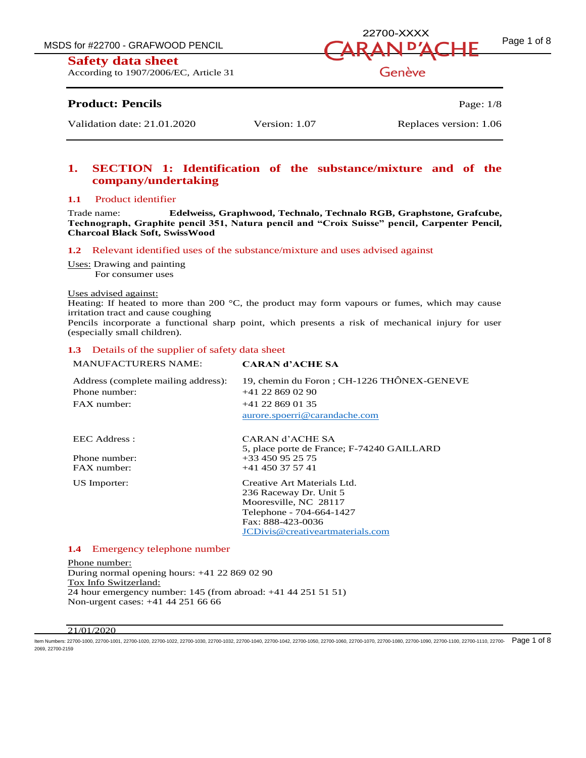According to 1907/2006/EC, Article 31

# MSDS for #22700 - GRAFWOOD PENCIL  $\overline{A}$   $\overline{D}$   $\overline{A}$   $\overline{D}$   $\overline{A}$   $\overline{D}$   $\overline{A}$   $\overline{D}$   $\overline{A}$   $\overline{D}$   $\overline{A}$   $\overline{D}$   $\overline{E}$   $\overline{P}$   $\overline{P}$   $\overline{P}$   $\overline{P}$   $\overline{P}$   $\overline{P}$   $\overline{P}$   $\overline{P}$ 22700-XXXX

Genève

# **Product: Pencils** Page: 1/8

Validation date: 21.01.2020 Version: 1.07 Replaces version: 1.06

# **1. SECTION 1: Identification of the substance/mixture and of the company/undertaking**

#### **1.1** Product identifier

Trade name: **Edelweiss, Graphwood, Technalo, Technalo RGB, Graphstone, Grafcube, Technograph, Graphite pencil 351, Natura pencil and "Croix Suisse" pencil, Carpenter Pencil, Charcoal Black Soft, SwissWood**

#### **1.2** Relevant identified uses of the substance/mixture and uses advised against

Uses: Drawing and painting For consumer uses

#### Uses advised against:

Heating: If heated to more than 200  $^{\circ}$ C, the product may form vapours or fumes, which may cause irritation tract and cause coughing

Pencils incorporate a functional sharp point, which presents a risk of mechanical injury for user (especially small children).

#### **1.3** Details of the supplier of safety data sheet

| <b>MANUFACTURERS NAME:</b>          | <b>CARAN d'ACHE SA</b>                      |
|-------------------------------------|---------------------------------------------|
| Address (complete mailing address): | 19, chemin du Foron ; CH-1226 THÔNEX-GENEVE |
| Phone number:                       | +41 22 869 02 90                            |
| FAX number:                         | +41 22 869 01 35                            |
|                                     | aurore.spoerri@carandache.com               |
| EEC Address :                       | CARAN d'ACHE SA                             |
|                                     | 5, place porte de France; F-74240 GAILLARD  |
| Phone number:                       | +33 450 95 25 75                            |
| FAX number:                         | +41 450 37 57 41                            |
| US Importer:                        | Creative Art Materials Ltd.                 |
|                                     | 236 Raceway Dr. Unit 5                      |
|                                     | Mooresville, NC 28117                       |
|                                     | Telephone - 704-664-1427                    |
|                                     | Fax: 888-423-0036                           |
|                                     | JCDivis@creativeartmaterials.com            |

#### **1.4** Emergency telephone number

Phone number: During normal opening hours: +41 22 869 02 90 Tox Info Switzerland: 24 hour emergency number: 145 (from abroad: +41 44 251 51 51) Non-urgent cases: +41 44 251 66 66

#### $\overline{21}/01/2020$

ltem Numbers: 22700-1000, 22700-1001, 22700-1020, 22700-1030, 22700-1030, 22700-1030, 22700-1040, 22700-1050, 22700-1060, 22700-1080, 22700-1080, 22700-1090, 22700-1010, 22700-1090, 22700-1110, 22700-1110, 22700-1090-22700 2069, 22700-2159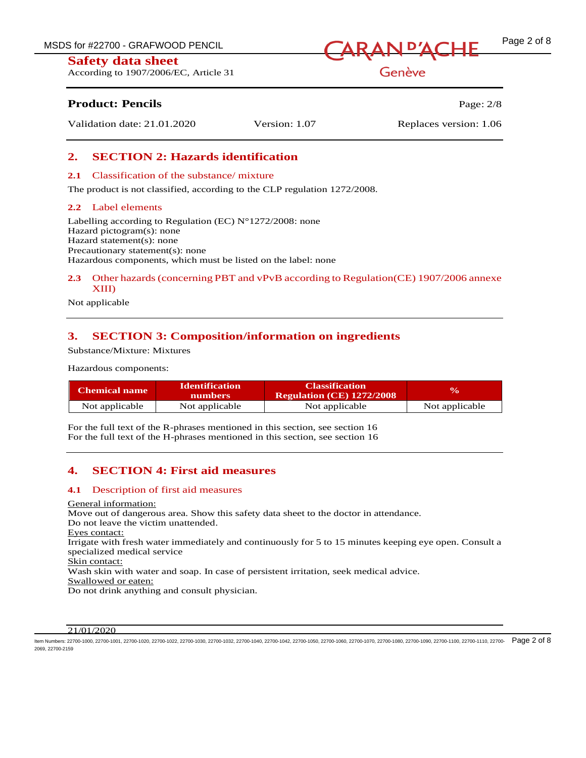According to 1907/2006/EC, Article 31



Genève

# **Product: Pencils Page: 2/8**

Validation date: 21.01.2020 Version: 1.07 Replaces version: 1.06

## **2. SECTION 2: Hazards identification**

#### **2.1** Classification of the substance/ mixture

The product is not classified, according to the CLP regulation 1272/2008.

#### **2.2** Label elements

Labelling according to Regulation (EC) N°1272/2008: none Hazard pictogram(s): none Hazard statement(s): none Precautionary statement(s): none Hazardous components, which must be listed on the label: none

### **2.3** Other hazards (concerning PBT and vPvB according to Regulation(CE) 1907/2006 annexe XIII)

Not applicable

## **3. SECTION 3: Composition/information on ingredients**

Substance/Mixture: Mixtures

Hazardous components:

| <b>Chemical name</b> | <b>Identification</b><br><b>numbers</b> | <b>Classification</b><br><b>Regulation (CE) 1272/2008</b> | <b>VA</b>      |
|----------------------|-----------------------------------------|-----------------------------------------------------------|----------------|
| Not applicable       | Not applicable                          | Not applicable                                            | Not applicable |

For the full text of the R-phrases mentioned in this section, see section 16 For the full text of the H-phrases mentioned in this section, see section 16

### **4. SECTION 4: First aid measures**

#### **4.1** Description of first aid measures

#### General information:

Move out of dangerous area. Show this safety data sheet to the doctor in attendance. Do not leave the victim unattended. Eyes contact: Irrigate with fresh water immediately and continuously for 5 to 15 minutes keeping eye open. Consult a specialized medical service Skin contact: Wash skin with water and soap. In case of persistent irritation, seek medical advice. Swallowed or eaten: Do not drink anything and consult physician.

#### $21/01/2020$

ltem Numbers: 22700-1000, 22700-1001, 22700-1020, 22700-1030, 22700-1030, 22700-1030, 22700-1040, 22700-1050, 22700-1060, 22700-1080, 22700-1080, 22700-1090, 22700-1010, 22700-1090, 22700-1110, 22700-1110, 22700-1090-2000-2069, 22700-2159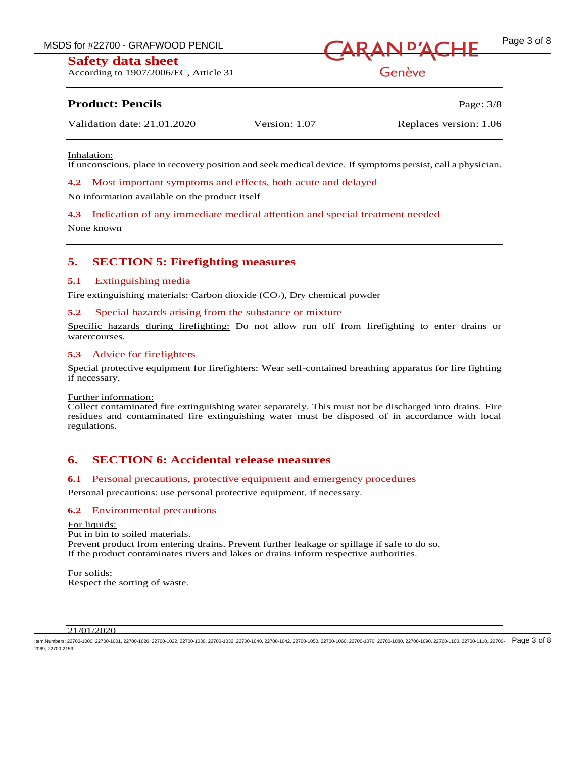According to 1907/2006/EC, Article 31



Genève

## **Product: Pencils** Page: 3/8

| Replaces version: 1.06<br>Validation date: 21.01.2020<br>Version: 1.07 |
|------------------------------------------------------------------------|
|------------------------------------------------------------------------|

Inhalation:

If unconscious, place in recovery position and seek medical device. If symptoms persist, call a physician.

**4.2** Most important symptoms and effects, both acute and delayed

No information available on the product itself

**4.3** Indication of any immediate medical attention and special treatment needed

None known

### **5. SECTION 5: Firefighting measures**

#### **5.1** Extinguishing media

Fire extinguishing materials: Carbon dioxide (CO2), Dry chemical powder

#### **5.2** Special hazards arising from the substance or mixture

Specific hazards during firefighting: Do not allow run off from firefighting to enter drains or watercourses.

#### **5.3** Advice for firefighters

Special protective equipment for firefighters: Wear self-contained breathing apparatus for fire fighting if necessary.

#### Further information:

Collect contaminated fire extinguishing water separately. This must not be discharged into drains. Fire residues and contaminated fire extinguishing water must be disposed of in accordance with local regulations.

### **6. SECTION 6: Accidental release measures**

#### **6.1** Personal precautions, protective equipment and emergency procedures

Personal precautions: use personal protective equipment, if necessary.

#### **6.2** Environmental precautions

For liquids:

Put in bin to soiled materials.

Prevent product from entering drains. Prevent further leakage or spillage if safe to do so. If the product contaminates rivers and lakes or drains inform respective authorities.

For solids: Respect the sorting of waste.

#### $\overline{21}/01/2020$

ltem Numbers: 22700-1000, 22700-1001, 22700-1020, 22700-1030, 22700-1030, 22700-1030, 22700-1040, 22700-1050, 22700-1060, 22700-1080, 22700-1080, 22700-1090, 22700-1010, 22700-1090, 22700-1110, 22700-1110, 22700-1090-2000-2069, 22700-2159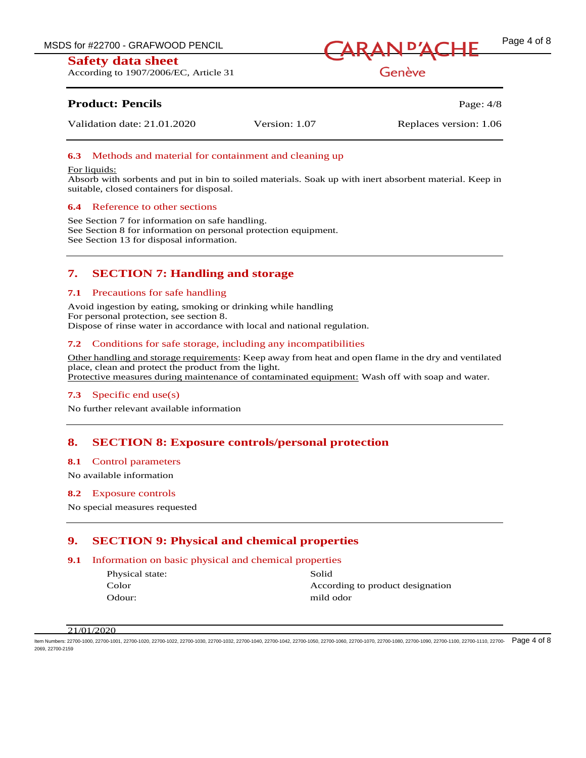According to 1907/2006/EC, Article 31



Genève

# **Product: Pencils** Page: 4/8

Validation date: 21.01.2020 Version: 1.07 Replaces version: 1.06

## **6.3** Methods and material for containment and cleaning up

#### For liquids:

Absorb with sorbents and put in bin to soiled materials. Soak up with inert absorbent material. Keep in suitable, closed containers for disposal.

#### **6.4** Reference to other sections

See Section 7 for information on safe handling. See Section 8 for information on personal protection equipment. See Section 13 for disposal information.

# **7. SECTION 7: Handling and storage**

#### **7.1** Precautions for safe handling

Avoid ingestion by eating, smoking or drinking while handling For personal protection, see section 8. Dispose of rinse water in accordance with local and national regulation.

### **7.2** Conditions for safe storage, including any incompatibilities

Other handling and storage requirements: Keep away from heat and open flame in the dry and ventilated place, clean and protect the product from the light. Protective measures during maintenance of contaminated equipment: Wash off with soap and water.

### **7.3** Specific end use(s)

No further relevant available information

### **8. SECTION 8: Exposure controls/personal protection**

#### **8.1** Control parameters

No available information

#### **8.2** Exposure controls

No special measures requested

### **9. SECTION 9: Physical and chemical properties**

#### **9.1** Information on basic physical and chemical properties

| Physical state: | Solid                            |
|-----------------|----------------------------------|
| Color           | According to product designation |
| Odour:          | mild odor                        |
|                 |                                  |

#### 21/01/2020

ltem Numbers: 22700-1000, 22700-1001, 22700-1020, 22700-1030, 22700-1030, 22700-1030, 22700-1040, 22700-1050, 22700-1060, 22700-1080, 22700-1080, 22700-1010, 22700-1010, 22700-1090, 22700-1110, 22700-1110, 22700-1090, 2270 2069, 22700-2159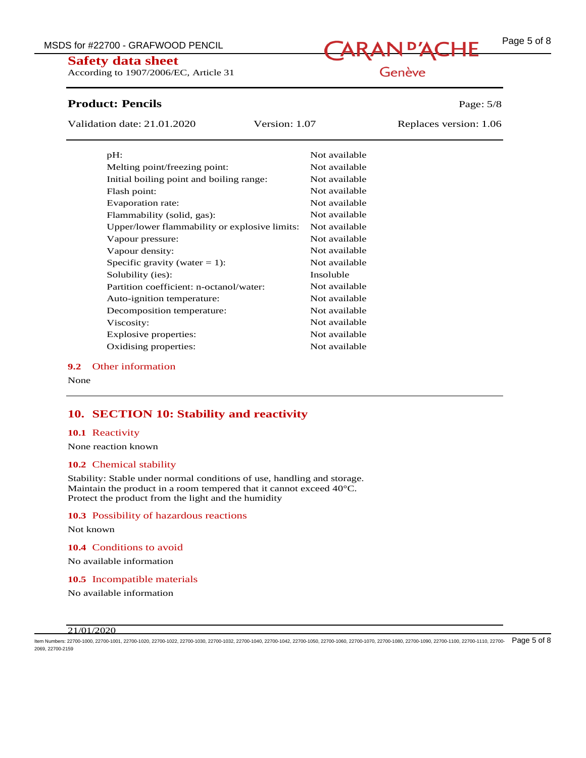According to 1907/2006/EC, Article 31

# **Product: Pencils** Page: 5/8

Validation date: 21.01.2020 Version: 1.07 Replaces version: 1.06

| pH:                                           | Not available |
|-----------------------------------------------|---------------|
| Melting point/freezing point:                 | Not available |
| Initial boiling point and boiling range:      | Not available |
| Flash point:                                  | Not available |
| Evaporation rate:                             | Not available |
| Flammability (solid, gas):                    | Not available |
| Upper/lower flammability or explosive limits: | Not available |
| Vapour pressure:                              | Not available |
| Vapour density:                               | Not available |
| Specific gravity (water $= 1$ ):              | Not available |
| Solubility (ies):                             | Insoluble     |
| Partition coefficient: n-octanol/water:       | Not available |
| Auto-ignition temperature:                    | Not available |
| Decomposition temperature:                    | Not available |
| Viscosity:                                    | Not available |
| Explosive properties:                         | Not available |
| Oxidising properties:                         | Not available |

#### **9.2** Other information

None

# **10. SECTION 10: Stability and reactivity**

#### **10.1** Reactivity

None reaction known

#### **10.2** Chemical stability

Stability: Stable under normal conditions of use, handling and storage. Maintain the product in a room tempered that it cannot exceed 40°C. Protect the product from the light and the humidity

#### **10.3** Possibility of hazardous reactions

Not known

**10.4** Conditions to avoid

No available information

**10.5** Incompatible materials

No available information

#### 21/01/2020

ltem Numbers: 22700-1000, 22700-1001, 22700-1020, 22700-1030, 22700-1030, 22700-1030, 22700-1040, 22700-1050, 22700-1060, 22700-1080, 22700-1080, 22700-1090, 22700-1010, 22700-1090, 22700-1110, 22700-1110, 22700-1090-  $\overline$ 2069, 22700-2159

# Genève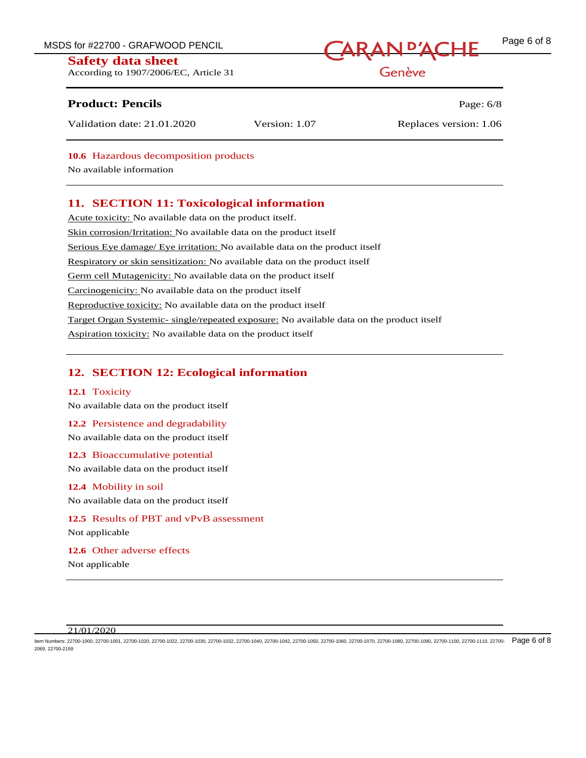MSDS for #22700 - GRAFWOOD PENCIL CARAN D'ACHE Page 6 of 8

### **Safety data sheet**

According to 1907/2006/EC, Article 31

# **Product: Pencils Page: 6/8**

Genève

| Validation date: 21.01.2020 | Version: 1.07 | Replaces version: 1.06 |
|-----------------------------|---------------|------------------------|
|                             |               |                        |

**10.6** Hazardous decomposition products

No available information

# **11. SECTION 11: Toxicological information**

Acute toxicity: No available data on the product itself. Skin corrosion/Irritation: No available data on the product itself Serious Eye damage/ Eye irritation: No available data on the product itself Respiratory or skin sensitization: No available data on the product itself Germ cell Mutagenicity: No available data on the product itself Carcinogenicity: No available data on the product itself Reproductive toxicity: No available data on the product itself Target Organ Systemic- single/repeated exposure: No available data on the product itself Aspiration toxicity: No available data on the product itself

# **12. SECTION 12: Ecological information**

#### **12.1** Toxicity

No available data on the product itself

### **12.2** Persistence and degradability

No available data on the product itself

**12.3** Bioaccumulative potential No available data on the product itself

#### **12.4** Mobility in soil

No available data on the product itself

**12.5** Results of PBT and vPvB assessment Not applicable

#### **12.6** Other adverse effects

Not applicable

#### $21/01/2020$

ltem Numbers: 22700-1000, 22700-1001, 22700-1020, 22700-1030, 22700-1030, 22700-1030, 22700-1040, 22700-1050, 22700-1060, 22700-1080, 22700-1080, 22700-1090, 22700-1010, 22700-1090, 22700-1110, 22700-1110, 22700-1090- Page 2069, 22700-2159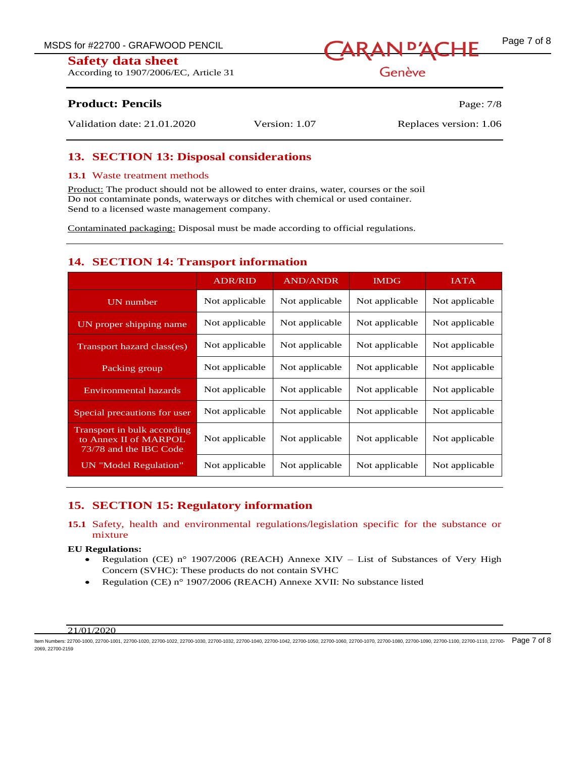According to 1907/2006/EC, Article 31



Genève

# **Product: Pencils** Page: 7/8

Validation date: 21.01.2020 Version: 1.07 Replaces version: 1.06

## **13. SECTION 13: Disposal considerations**

#### **13.1** Waste treatment methods

Product: The product should not be allowed to enter drains, water, courses or the soil Do not contaminate ponds, waterways or ditches with chemical or used container. Send to a licensed waste management company.

Contaminated packaging: Disposal must be made according to official regulations.

## **14. SECTION 14: Transport information**

|                                                                                | <b>ADR/RID</b> | <b>AND/ANDR</b> | <b>IMDG</b>    | <b>IATA</b>    |
|--------------------------------------------------------------------------------|----------------|-----------------|----------------|----------------|
| UN number                                                                      | Not applicable | Not applicable  | Not applicable | Not applicable |
| UN proper shipping name                                                        | Not applicable | Not applicable  | Not applicable | Not applicable |
| Transport hazard class(es)                                                     | Not applicable | Not applicable  | Not applicable | Not applicable |
| Packing group                                                                  | Not applicable | Not applicable  | Not applicable | Not applicable |
| <b>Environmental hazards</b>                                                   | Not applicable | Not applicable  | Not applicable | Not applicable |
| Special precautions for user                                                   | Not applicable | Not applicable  | Not applicable | Not applicable |
| Transport in bulk according<br>to Annex II of MARPOL<br>73/78 and the IBC Code | Not applicable | Not applicable  | Not applicable | Not applicable |
| <b>UN</b> "Model Regulation"                                                   | Not applicable | Not applicable  | Not applicable | Not applicable |

# **15. SECTION 15: Regulatory information**

### **15.1** Safety, health and environmental regulations/legislation specific for the substance or mixture

#### **EU Regulations:**

- Regulation (CE) n° 1907/2006 (REACH) Annexe XIV List of Substances of Very High Concern (SVHC): These products do not contain SVHC
- Regulation (CE) n° 1907/2006 (REACH) Annexe XVII: No substance listed

#### 21/01/2020

ltem Numbers: 22700-1000, 22700-1001, 22700-1020, 22700-1030, 22700-1030, 22700-1030, 22700-1040, 22700-1050, 22700-1060, 22700-1080, 22700-1080, 22700-1090, 22700-1010, 22700-1090, 22700-1110, 22700-1110, 22700-1090-22700 2069, 22700-2159